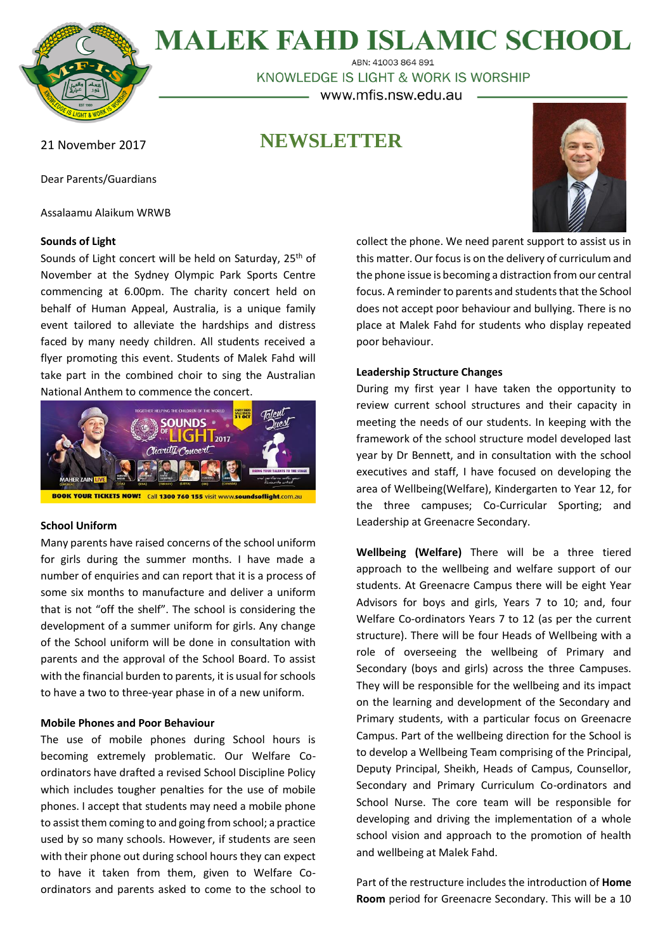

**MALEK FAHD ISLAMIC SCHOOL** 

ABN: 41003 864 891 KNOWLEDGE IS LIGHT & WORK IS WORSHIP www.mfis.nsw.edu.au

**NEWSLETTER**

21 November 2017

Dear Parents/Guardians

Assalaamu Alaikum WRWB

# **Sounds of Light**

Sounds of Light concert will be held on Saturday, 25<sup>th</sup> of November at the Sydney Olympic Park Sports Centre commencing at 6.00pm. The charity concert held on behalf of Human Appeal, Australia, is a unique family event tailored to alleviate the hardships and distress faced by many needy children. All students received a flyer promoting this event. Students of Malek Fahd will take part in the combined choir to sing the Australian National Anthem to commence the concert.



## **School Uniform**

Many parents have raised concerns of the school uniform for girls during the summer months. I have made a number of enquiries and can report that it is a process of some six months to manufacture and deliver a uniform that is not "off the shelf". The school is considering the development of a summer uniform for girls. Any change of the School uniform will be done in consultation with parents and the approval of the School Board. To assist with the financial burden to parents, it is usual for schools to have a two to three-year phase in of a new uniform.

# **Mobile Phones and Poor Behaviour**

The use of mobile phones during School hours is becoming extremely problematic. Our Welfare Coordinators have drafted a revised School Discipline Policy which includes tougher penalties for the use of mobile phones. I accept that students may need a mobile phone to assist them coming to and going from school; a practice used by so many schools. However, if students are seen with their phone out during school hours they can expect to have it taken from them, given to Welfare Coordinators and parents asked to come to the school to



collect the phone. We need parent support to assist us in this matter. Our focus is on the delivery of curriculum and the phone issue is becoming a distraction from our central focus. A reminder to parents and students that the School does not accept poor behaviour and bullying. There is no place at Malek Fahd for students who display repeated poor behaviour.

# **Leadership Structure Changes**

During my first year I have taken the opportunity to review current school structures and their capacity in meeting the needs of our students. In keeping with the framework of the school structure model developed last year by Dr Bennett, and in consultation with the school executives and staff, I have focused on developing the area of Wellbeing(Welfare), Kindergarten to Year 12, for the three campuses; Co-Curricular Sporting; and Leadership at Greenacre Secondary.

**Wellbeing (Welfare)** There will be a three tiered approach to the wellbeing and welfare support of our students. At Greenacre Campus there will be eight Year Advisors for boys and girls, Years 7 to 10; and, four Welfare Co-ordinators Years 7 to 12 (as per the current structure). There will be four Heads of Wellbeing with a role of overseeing the wellbeing of Primary and Secondary (boys and girls) across the three Campuses. They will be responsible for the wellbeing and its impact on the learning and development of the Secondary and Primary students, with a particular focus on Greenacre Campus. Part of the wellbeing direction for the School is to develop a Wellbeing Team comprising of the Principal, Deputy Principal, Sheikh, Heads of Campus, Counsellor, Secondary and Primary Curriculum Co-ordinators and School Nurse. The core team will be responsible for developing and driving the implementation of a whole school vision and approach to the promotion of health and wellbeing at Malek Fahd.

Part of the restructure includes the introduction of **Home Room** period for Greenacre Secondary. This will be a 10